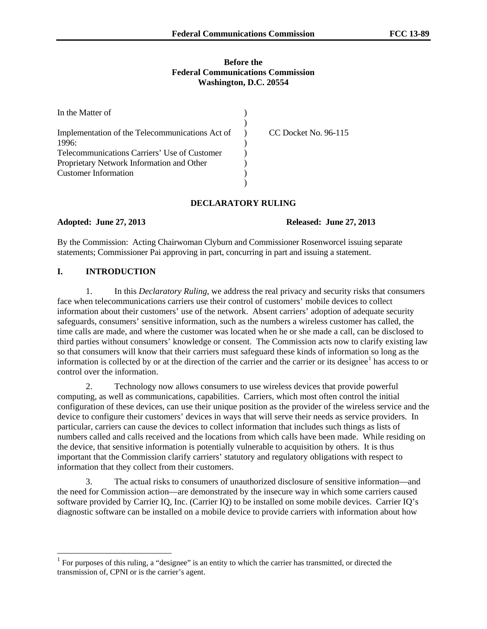### **Before the Federal Communications Commission Washington, D.C. 20554**

| In the Matter of                                |                      |
|-------------------------------------------------|----------------------|
|                                                 |                      |
| Implementation of the Telecommunications Act of | CC Docket No. 96-115 |
| 1996:                                           |                      |
| Telecommunications Carriers' Use of Customer    |                      |
| Proprietary Network Information and Other       |                      |
| <b>Customer Information</b>                     |                      |
|                                                 |                      |

### **DECLARATORY RULING**

**Adopted: June 27, 2013 Released: June 27, 2013**

By the Commission: Acting Chairwoman Clyburn and Commissioner Rosenworcel issuing separate statements; Commissioner Pai approving in part, concurring in part and issuing a statement.

### **I. INTRODUCTION**

1. In this *Declaratory Ruling*, we address the real privacy and security risks that consumers face when telecommunications carriers use their control of customers' mobile devices to collect information about their customers' use of the network. Absent carriers' adoption of adequate security safeguards, consumers' sensitive information, such as the numbers a wireless customer has called, the time calls are made, and where the customer was located when he or she made a call, can be disclosed to third parties without consumers' knowledge or consent. The Commission acts now to clarify existing law so that consumers will know that their carriers must safeguard these kinds of information so long as the information is collected by or at the direction of the carrier and the carrier or its designee $<sup>1</sup>$  $<sup>1</sup>$  $<sup>1</sup>$  has access to or</sup> control over the information.

2. Technology now allows consumers to use wireless devices that provide powerful computing, as well as communications, capabilities. Carriers, which most often control the initial configuration of these devices, can use their unique position as the provider of the wireless service and the device to configure their customers' devices in ways that will serve their needs as service providers. In particular, carriers can cause the devices to collect information that includes such things as lists of numbers called and calls received and the locations from which calls have been made. While residing on the device, that sensitive information is potentially vulnerable to acquisition by others. It is thus important that the Commission clarify carriers' statutory and regulatory obligations with respect to information that they collect from their customers.

3. The actual risks to consumers of unauthorized disclosure of sensitive information—and the need for Commission action—are demonstrated by the insecure way in which some carriers caused software provided by Carrier IQ, Inc. (Carrier IQ) to be installed on some mobile devices. Carrier IQ's diagnostic software can be installed on a mobile device to provide carriers with information about how

<span id="page-0-0"></span><sup>&</sup>lt;sup>1</sup> For purposes of this ruling, a "designee" is an entity to which the carrier has transmitted, or directed the transmission of, CPNI or is the carrier's agent.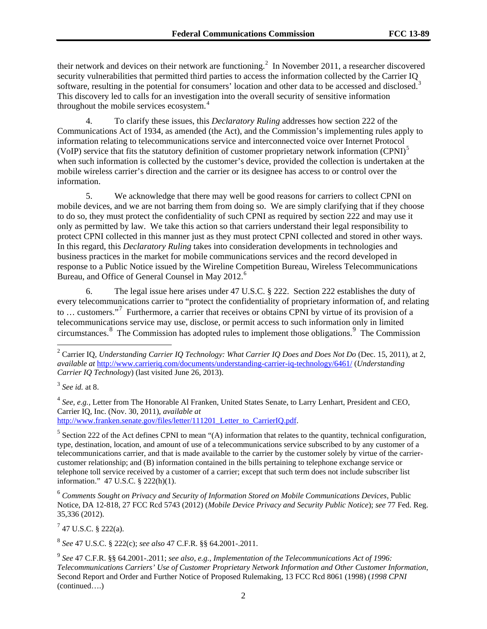their network and devices on their network are functioning.<sup>[2](#page-1-0)</sup> In November 2011, a researcher discovered security vulnerabilities that permitted third parties to access the information collected by the Carrier IQ software, resulting in the potential for consumers' location and other data to be accessed and disclosed.<sup>[3](#page-1-1)</sup> This discovery led to calls for an investigation into the overall security of sensitive information throughout the mobile services ecosystem.<sup>[4](#page-1-2)</sup>

4. To clarify these issues, this *Declaratory Ruling* addresses how section 222 of the Communications Act of 1934, as amended (the Act), and the Commission's implementing rules apply to information relating to telecommunications service and interconnected voice over Internet Protocol (VoIP) service that fits the statutory definition of customer proprietary network information (CPNI)<sup>[5](#page-1-3)</sup> when such information is collected by the customer's device, provided the collection is undertaken at the mobile wireless carrier's direction and the carrier or its designee has access to or control over the information.

5. We acknowledge that there may well be good reasons for carriers to collect CPNI on mobile devices, and we are not barring them from doing so. We are simply clarifying that if they choose to do so, they must protect the confidentiality of such CPNI as required by section 222 and may use it only as permitted by law. We take this action so that carriers understand their legal responsibility to protect CPNI collected in this manner just as they must protect CPNI collected and stored in other ways. In this regard, this *Declaratory Ruling* takes into consideration developments in technologies and business practices in the market for mobile communications services and the record developed in response to a Public Notice issued by the Wireline Competition Bureau, Wireless Telecommunications Bureau, and Office of General Counsel in May 2012.<sup>[6](#page-1-4)</sup>

6. The legal issue here arises under 47 U.S.C. § 222. Section 222 establishes the duty of every telecommunications carrier to "protect the confidentiality of proprietary information of, and relating to … customers."[7](#page-1-5) Furthermore, a carrier that receives or obtains CPNI by virtue of its provision of a telecommunications service may use, disclose, or permit access to such information only in limited circumstances.[8](#page-1-6) The Commission has adopted rules to implement those obligations.[9](#page-1-7) The Commission

<span id="page-1-2"></span><sup>4</sup> *See, e.g.,* Letter from The Honorable Al Franken, United States Senate, to Larry Lenhart, President and CEO, Carrier IQ, Inc. (Nov. 30, 2011), *available at* http://www.franken.senate.gov/files/letter/111201 Letter to CarrierIQ.pdf.

<span id="page-1-3"></span> $5$  Section 222 of the Act defines CPNI to mean "(A) information that relates to the quantity, technical configuration, type, destination, location, and amount of use of a telecommunications service subscribed to by any customer of a telecommunications carrier, and that is made available to the carrier by the customer solely by virtue of the carriercustomer relationship; and (B) information contained in the bills pertaining to telephone exchange service or telephone toll service received by a customer of a carrier; except that such term does not include subscriber list information." 47 U.S.C. § 222(h)(1).

<span id="page-1-4"></span><sup>6</sup> *Comments Sought on Privacy and Security of Information Stored on Mobile Communications Devices*, Public Notice, DA 12-818, 27 FCC Rcd 5743 (2012) (*Mobile Device Privacy and Security Public Notice*); *see* 77 Fed. Reg. 35,336 (2012).

<span id="page-1-5"></span> $7$  47 U.S.C. § 222(a).

<span id="page-1-6"></span><sup>8</sup> *See* 47 U.S.C. § 222(c); *see also* 47 C.F.R. §§ 64.2001-.2011.

<span id="page-1-7"></span><sup>9</sup> *See* 47 C.F.R. §§ 64.2001-.2011; *see also, e.g.*, *Implementation of the Telecommunications Act of 1996: Telecommunications Carriers' Use of Customer Proprietary Network Information and Other Customer Information*, Second Report and Order and Further Notice of Proposed Rulemaking, 13 FCC Rcd 8061 (1998) (*1998 CPNI*  (continued….)

<span id="page-1-0"></span> <sup>2</sup> Carrier IQ, *Understanding Carrier IQ Technology: What Carrier IQ Does and Does Not Do* (Dec. 15, 2011), at 2, *available at* <http://www.carrieriq.com/documents/understanding-carrier-iq-technology/6461/> (*Understanding Carrier IQ Technology*) (last visited June 26, 2013).

<span id="page-1-1"></span><sup>3</sup> *See id.* at 8.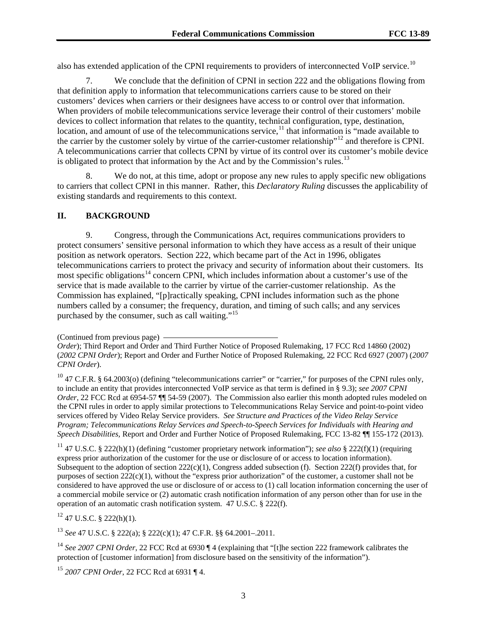also has extended application of the CPNI requirements to providers of interconnected VoIP service.<sup>[10](#page-2-0)</sup>

7. We conclude that the definition of CPNI in section 222 and the obligations flowing from that definition apply to information that telecommunications carriers cause to be stored on their customers' devices when carriers or their designees have access to or control over that information. When providers of mobile telecommunications service leverage their control of their customers' mobile devices to collect information that relates to the quantity, technical configuration, type, destination, location, and amount of use of the telecommunications service,<sup>[11](#page-2-1)</sup> that information is "made available to the carrier by the customer solely by virtue of the carrier-customer relationship"[12](#page-2-2) and therefore is CPNI. A telecommunications carrier that collects CPNI by virtue of its control over its customer's mobile device is obligated to protect that information by the Act and by the Commission's rules.<sup>[13](#page-2-3)</sup>

8. We do not, at this time, adopt or propose any new rules to apply specific new obligations to carriers that collect CPNI in this manner. Rather, this *Declaratory Ruling* discusses the applicability of existing standards and requirements to this context.

### **II. BACKGROUND**

9. Congress, through the Communications Act, requires communications providers to protect consumers' sensitive personal information to which they have access as a result of their unique position as network operators. Section 222, which became part of the Act in 1996, obligates telecommunications carriers to protect the privacy and security of information about their customers. Its most specific obligations<sup>[14](#page-2-4)</sup> concern CPNI, which includes information about a customer's use of the service that is made available to the carrier by virtue of the carrier-customer relationship. As the Commission has explained, "[p]ractically speaking, CPNI includes information such as the phone numbers called by a consumer; the frequency, duration, and timing of such calls; and any services purchased by the consumer, such as call waiting."[15](#page-2-5)

<span id="page-2-1"></span><sup>11</sup> 47 U.S.C. § 222(h)(1) (defining "customer proprietary network information"); *see also* § 222(f)(1) (requiring express prior authorization of the customer for the use or disclosure of or access to location information). Subsequent to the adoption of section  $222(c)(1)$ , Congress added subsection (f). Section  $222(f)$  provides that, for purposes of section  $222(c)(1)$ , without the "express prior authorization" of the customer, a customer shall not be considered to have approved the use or disclosure of or access to (1) call location information concerning the user of a commercial mobile service or (2) automatic crash notification information of any person other than for use in the operation of an automatic crash notification system. 47 U.S.C. § 222(f).

<span id="page-2-2"></span><sup>12</sup> 47 U.S.C. § 222(h)(1)*.*

<span id="page-2-3"></span><sup>13</sup> *See* 47 U.S.C. § 222(a); § 222(c)(1); 47 C.F.R. §§ 64.2001–.2011.

<span id="page-2-4"></span><sup>14</sup> *See 2007 CPNI Order*, 22 FCC Rcd at 6930 ¶ 4 (explaining that "[t]he section 222 framework calibrates the protection of [customer information] from disclosure based on the sensitivity of the information").

<span id="page-2-5"></span><sup>15</sup> *2007 CPNI Order*, 22 FCC Rcd at 6931 ¶ 4.

<sup>(</sup>Continued from previous page)

*Order*); Third Report and Order and Third Further Notice of Proposed Rulemaking, 17 FCC Rcd 14860 (2002) (*2002 CPNI Order*); Report and Order and Further Notice of Proposed Rulemaking, 22 FCC Rcd 6927 (2007) (*2007 CPNI Order*).

<span id="page-2-0"></span> $10$  47 C.F.R. § 64.2003(o) (defining "telecommunications carrier" or "carrier," for purposes of the CPNI rules only, to include an entity that provides interconnected VoIP service as that term is defined in § 9.3); *see 2007 CPNI Order*, 22 FCC Rcd at 6954-57  $\frac{1}{15}$  54-59 (2007). The Commission also earlier this month adopted rules modeled on the CPNI rules in order to apply similar protections to Telecommunications Relay Service and point-to-point video services offered by Video Relay Service providers. *See Structure and Practices of the Video Relay Service Program; Telecommunications Relay Services and Speech-to-Speech Services for Individuals with Hearing and Speech Disabilities,* Report and Order and Further Notice of Proposed Rulemaking, FCC 13-82 ¶¶ 155-172 (2013).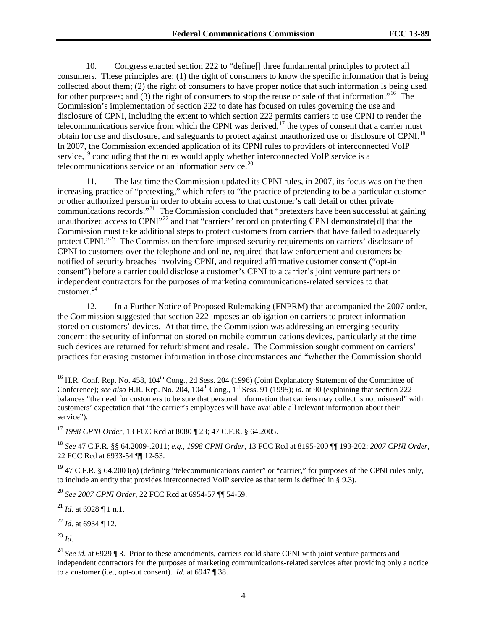10. Congress enacted section 222 to "define[] three fundamental principles to protect all consumers. These principles are: (1) the right of consumers to know the specific information that is being collected about them; (2) the right of consumers to have proper notice that such information is being used for other purposes; and (3) the right of consumers to stop the reuse or sale of that information."<sup>[16](#page-3-0)</sup> The Commission's implementation of section 222 to date has focused on rules governing the use and disclosure of CPNI, including the extent to which section 222 permits carriers to use CPNI to render the telecommunications service from which the CPNI was derived, $17$  the types of consent that a carrier must obtain for use and disclosure, and safeguards to protect against unauthorized use or disclosure of CPNI.[18](#page-3-2) In 2007, the Commission extended application of its CPNI rules to providers of interconnected VoIP service,<sup>[19](#page-3-3)</sup> concluding that the rules would apply whether interconnected VoIP service is a telecommunications service or an information service.<sup>[20](#page-3-4)</sup>

11. The last time the Commission updated its CPNI rules, in 2007, its focus was on the thenincreasing practice of "pretexting," which refers to "the practice of pretending to be a particular customer or other authorized person in order to obtain access to that customer's call detail or other private communications records."[21](#page-3-5) The Commission concluded that "pretexters have been successful at gaining unauthorized access to CPNI<sup>"[22](#page-3-6)</sup> and that "carriers' record on protecting CPNI demonstrate[d] that the Commission must take additional steps to protect customers from carriers that have failed to adequately protect CPNI."<sup>23</sup> The Commission therefore imposed security requirements on carriers' disclosure of CPNI to customers over the telephone and online, required that law enforcement and customers be notified of security breaches involving CPNI, and required affirmative customer consent ("opt-in consent") before a carrier could disclose a customer's CPNI to a carrier's joint venture partners or independent contractors for the purposes of marketing communications-related services to that customer.<sup>24</sup>

12. In a Further Notice of Proposed Rulemaking (FNPRM) that accompanied the 2007 order, the Commission suggested that section 222 imposes an obligation on carriers to protect information stored on customers' devices. At that time, the Commission was addressing an emerging security concern: the security of information stored on mobile communications devices, particularly at the time such devices are returned for refurbishment and resale. The Commission sought comment on carriers' practices for erasing customer information in those circumstances and "whether the Commission should

<span id="page-3-1"></span><sup>17</sup> *1998 CPNI Order*, 13 FCC Rcd at 8080 ¶ 23; 47 C.F.R. § 64.2005.

<span id="page-3-2"></span><sup>18</sup> *See* 47 C.F.R. §§ 64.2009-.2011; *e.g.*, *1998 CPNI Order*, 13 FCC Rcd at 8195-200 ¶¶ 193-202; *2007 CPNI Order*, 22 FCC Rcd at 6933-54 ¶¶ 12-53.

<span id="page-3-3"></span><sup>19</sup> 47 C.F.R. § 64.2003(o) (defining "telecommunications carrier" or "carrier," for purposes of the CPNI rules only, to include an entity that provides interconnected VoIP service as that term is defined in § 9.3).

<span id="page-3-4"></span><sup>20</sup> *See 2007 CPNI Order*, 22 FCC Rcd at 6954-57 ¶¶ 54-59.

<span id="page-3-5"></span><sup>21</sup> *Id.* at 6928 ¶ 1 n.1.

<span id="page-3-6"></span><sup>22</sup> *Id.* at 6934 ¶ 12.

<span id="page-3-7"></span><sup>23</sup> *Id.*

<span id="page-3-0"></span><sup>&</sup>lt;sup>16</sup> H.R. Conf. Rep. No. 458, 104<sup>th</sup> Cong., 2d Sess. 204 (1996) (Joint Explanatory Statement of the Committee of Conference); *see also* H.R. Rep. No. 204, 104<sup>th</sup> Cong., 1<sup>st</sup> Sess. 91 (1995); *id.* at 90 (explaining that section 222 balances "the need for customers to be sure that personal information that carriers may collect is not misused" with customers' expectation that "the carrier's employees will have available all relevant information about their service").

<span id="page-3-8"></span><sup>24</sup> *See id.* at 6929 ¶ 3. Prior to these amendments, carriers could share CPNI with joint venture partners and independent contractors for the purposes of marketing communications-related services after providing only a notice to a customer (i.e., opt-out consent). *Id.* at 6947 ¶ 38.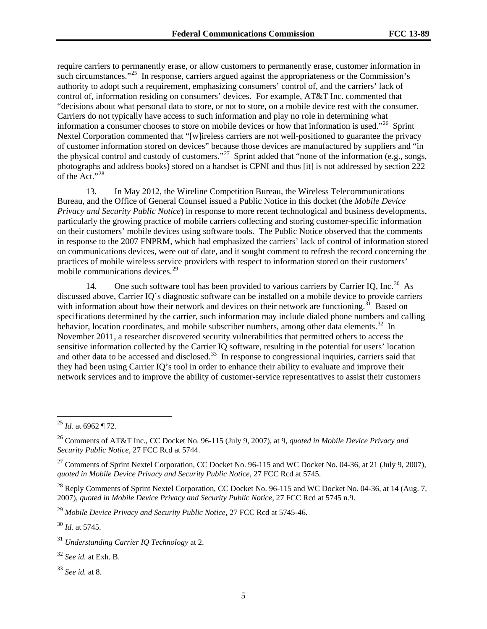require carriers to permanently erase, or allow customers to permanently erase, customer information in such circumstances."<sup>[25](#page-4-0)</sup> In response, carriers argued against the appropriateness or the Commission's authority to adopt such a requirement, emphasizing consumers' control of, and the carriers' lack of control of, information residing on consumers' devices. For example, AT&T Inc. commented that "decisions about what personal data to store, or not to store, on a mobile device rest with the consumer. Carriers do not typically have access to such information and play no role in determining what information a consumer chooses to store on mobile devices or how that information is used."<sup>26</sup> Sprint Nextel Corporation commented that "[w]ireless carriers are not well-positioned to guarantee the privacy of customer information stored on devices" because those devices are manufactured by suppliers and "in the physical control and custody of customers."[27](#page-4-2) Sprint added that "none of the information (e.g., songs, photographs and address books) stored on a handset is CPNI and thus [it] is not addressed by section 222 of the Act." $^{28}$  $^{28}$  $^{28}$ 

13. In May 2012, the Wireline Competition Bureau, the Wireless Telecommunications Bureau, and the Office of General Counsel issued a Public Notice in this docket (the *Mobile Device Privacy and Security Public Notice*) in response to more recent technological and business developments, particularly the growing practice of mobile carriers collecting and storing customer-specific information on their customers' mobile devices using software tools. The Public Notice observed that the comments in response to the 2007 FNPRM, which had emphasized the carriers' lack of control of information stored on communications devices, were out of date, and it sought comment to refresh the record concerning the practices of mobile wireless service providers with respect to information stored on their customers' mobile communications devices.<sup>[29](#page-4-4)</sup>

14. One such software tool has been provided to various carriers by Carrier IQ, Inc.<sup>30</sup> As discussed above, Carrier IQ's diagnostic software can be installed on a mobile device to provide carriers with information about how their network and devices on their network are functioning.<sup>31</sup> Based on specifications determined by the carrier, such information may include dialed phone numbers and calling behavior, location coordinates, and mobile subscriber numbers, among other data elements.<sup>[32](#page-4-7)</sup> In November 2011, a researcher discovered security vulnerabilities that permitted others to access the sensitive information collected by the Carrier IQ software, resulting in the potential for users' location and other data to be accessed and disclosed.<sup>33</sup> In response to congressional inquiries, carriers said that they had been using Carrier IQ's tool in order to enhance their ability to evaluate and improve their network services and to improve the ability of customer-service representatives to assist their customers

<span id="page-4-4"></span><sup>29</sup> *Mobile Device Privacy and Security Public Notice,* 27 FCC Rcd at 5745-46.

<span id="page-4-5"></span><sup>30</sup> *Id.* at 5745.

<span id="page-4-7"></span><sup>32</sup> *See id.* at Exh. B.

<span id="page-4-8"></span><sup>33</sup> *See id.* at 8.

<span id="page-4-0"></span> <sup>25</sup> *Id.* at 6962 ¶ 72.

<span id="page-4-1"></span><sup>26</sup> Comments of AT&T Inc., CC Docket No. 96-115 (July 9, 2007), at 9, *quoted in Mobile Device Privacy and Security Public Notice*, 27 FCC Rcd at 5744.

<span id="page-4-2"></span><sup>&</sup>lt;sup>27</sup> Comments of Sprint Nextel Corporation, CC Docket No. 96-115 and WC Docket No. 04-36, at 21 (July 9, 2007), *quoted in Mobile Device Privacy and Security Public Notice*, 27 FCC Rcd at 5745.

<span id="page-4-3"></span><sup>&</sup>lt;sup>28</sup> Reply Comments of Sprint Nextel Corporation, CC Docket No. 96-115 and WC Docket No. 04-36, at 14 (Aug. 7, 2007), *quoted in Mobile Device Privacy and Security Public Notice*, 27 FCC Rcd at 5745 n.9.

<span id="page-4-6"></span><sup>31</sup> *Understanding Carrier IQ Technology* at 2.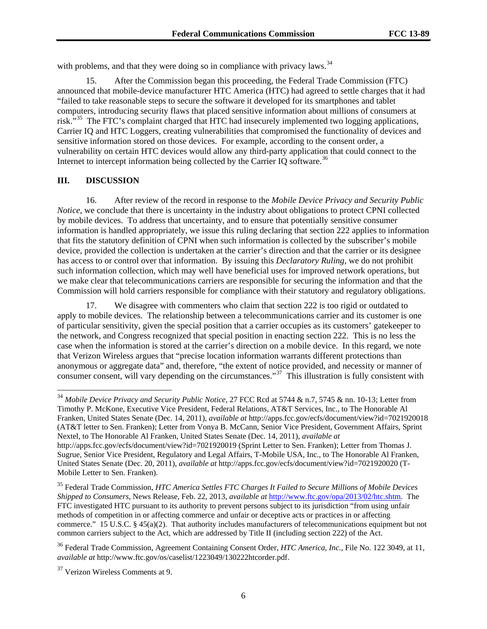with problems, and that they were doing so in compliance with privacy laws.<sup>[34](#page-5-0)</sup>

15. After the Commission began this proceeding, the Federal Trade Commission (FTC) announced that mobile-device manufacturer HTC America (HTC) had agreed to settle charges that it had "failed to take reasonable steps to secure the software it developed for its smartphones and tablet computers, introducing security flaws that placed sensitive information about millions of consumers at risk."[35](#page-5-1) The FTC's complaint charged that HTC had insecurely implemented two logging applications, Carrier IQ and HTC Loggers, creating vulnerabilities that compromised the functionality of devices and sensitive information stored on those devices. For example, according to the consent order, a vulnerability on certain HTC devices would allow any third-party application that could connect to the Internet to intercept information being collected by the Carrier IO software.<sup>[36](#page-5-2)</sup>

### **III. DISCUSSION**

16. After review of the record in response to the *Mobile Device Privacy and Security Public Notice*, we conclude that there is uncertainty in the industry about obligations to protect CPNI collected by mobile devices. To address that uncertainty, and to ensure that potentially sensitive consumer information is handled appropriately, we issue this ruling declaring that section 222 applies to information that fits the statutory definition of CPNI when such information is collected by the subscriber's mobile device, provided the collection is undertaken at the carrier's direction and that the carrier or its designee has access to or control over that information. By issuing this *Declaratory Ruling*, we do not prohibit such information collection, which may well have beneficial uses for improved network operations, but we make clear that telecommunications carriers are responsible for securing the information and that the Commission will hold carriers responsible for compliance with their statutory and regulatory obligations.

<span id="page-5-4"></span>17. We disagree with commenters who claim that section 222 is too rigid or outdated to apply to mobile devices. The relationship between a telecommunications carrier and its customer is one of particular sensitivity, given the special position that a carrier occupies as its customers' gatekeeper to the network, and Congress recognized that special position in enacting section 222. This is no less the case when the information is stored at the carrier's direction on a mobile device. In this regard, we note that Verizon Wireless argues that "precise location information warrants different protections than anonymous or aggregate data" and, therefore, "the extent of notice provided, and necessity or manner of consumer consent, will vary depending on the circumstances."<sup>37</sup> This illustration is fully consistent with

<span id="page-5-0"></span> <sup>34</sup> *Mobile Device Privacy and Security Public Notice,* 27 FCC Rcd at 5744 & n.7, 5745 & nn. 10-13; Letter from Timothy P. McKone, Executive Vice President, Federal Relations, AT&T Services, Inc., to The Honorable Al Franken, United States Senate (Dec. 14, 2011), *available at* http://apps.fcc.gov/ecfs/document/view?id=7021920018 (AT&T letter to Sen. Franken); Letter from Vonya B. McCann, Senior Vice President, Government Affairs, Sprint Nextel, to The Honorable Al Franken, United States Senate (Dec. 14, 2011), *available at* http://apps.fcc.gov/ecfs/document/view?id=7021920019 (Sprint Letter to Sen. Franken); Letter from Thomas J. Sugrue, Senior Vice President, Regulatory and Legal Affairs, T-Mobile USA, Inc., to The Honorable Al Franken, United States Senate (Dec. 20, 2011), *available at* http://apps.fcc.gov/ecfs/document/view?id=7021920020 (T-Mobile Letter to Sen. Franken).

<span id="page-5-1"></span><sup>35</sup> Federal Trade Commission, *HTC America Settles FTC Charges It Failed to Secure Millions of Mobile Devices Shipped to Consumers*, News Release, Feb. 22, 2013, *available at* [http://www.ftc.gov/opa/2013/02/htc.shtm.](http://www.ftc.gov/opa/2013/02/htc.shtm) The FTC investigated HTC pursuant to its authority to prevent persons subject to its jurisdiction "from using unfair methods of competition in or affecting commerce and unfair or deceptive acts or practices in or affecting commerce." 15 U.S.C. § 45(a)(2). That authority includes manufacturers of telecommunications equipment but not common carriers subject to the Act, which are addressed by Title II (including section 222) of the Act.

<span id="page-5-2"></span><sup>36</sup> Federal Trade Commission, Agreement Containing Consent Order, *HTC America, Inc.*, File No. 122 3049, at 11, *available at* http://www.ftc.gov/os/caselist/1223049/130222htcorder.pdf.

<span id="page-5-3"></span><sup>37</sup> Verizon Wireless Comments at 9.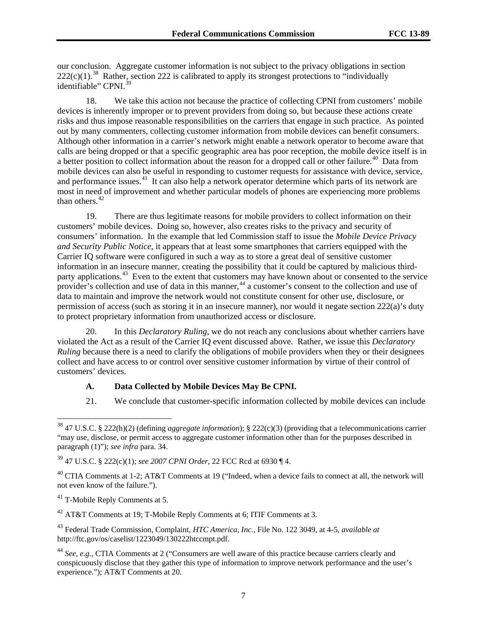our conclusion. Aggregate customer information is not subject to the privacy obligations in section  $222(c)(1).$ <sup>38</sup> Rather, section 222 is calibrated to apply its strongest protections to "individually" identifiable" CPNI.<sup>[39](#page-6-1)</sup>

18. We take this action not because the practice of collecting CPNI from customers' mobile devices is inherently improper or to prevent providers from doing so, but because these actions create risks and thus impose reasonable responsibilities on the carriers that engage in such practice. As pointed out by many commenters, collecting customer information from mobile devices can benefit consumers. Although other information in a carrier's network might enable a network operator to become aware that calls are being dropped or that a specific geographic area has poor reception, the mobile device itself is in a better position to collect information about the reason for a dropped call or other failure.<sup>[40](#page-6-2)</sup> Data from mobile devices can also be useful in responding to customer requests for assistance with device, service, and performance issues.<sup>41</sup> It can also help a network operator determine which parts of its network are most in need of improvement and whether particular models of phones are experiencing more problems than others. $42$ 

19. There are thus legitimate reasons for mobile providers to collect information on their customers' mobile devices. Doing so, however, also creates risks to the privacy and security of consumers' information. In the example that led Commission staff to issue the *Mobile Device Privacy and Security Public Notice*, it appears that at least some smartphones that carriers equipped with the Carrier IQ software were configured in such a way as to store a great deal of sensitive customer information in an insecure manner, creating the possibility that it could be captured by malicious third-party applications.<sup>[43](#page-6-5)</sup> Even to the extent that customers may have known about or consented to the service provider's collection and use of data in this manner,<sup>[44](#page-6-6)</sup> a customer's consent to the collection and use of data to maintain and improve the network would not constitute consent for other use, disclosure, or permission of access (such as storing it in an insecure manner), nor would it negate section 222(a)'s duty to protect proprietary information from unauthorized access or disclosure.

20. In this *Declaratory Ruling*, we do not reach any conclusions about whether carriers have violated the Act as a result of the Carrier IQ event discussed above. Rather, we issue this *Declaratory Ruling* because there is a need to clarify the obligations of mobile providers when they or their designees collect and have access to or control over sensitive customer information by virtue of their control of customers' devices.

## **A. Data Collected by Mobile Devices May Be CPNI.**

21. We conclude that customer-specific information collected by mobile devices can include

<span id="page-6-3"></span><sup>41</sup> T-Mobile Reply Comments at 5.

<span id="page-6-4"></span> $42$  AT&T Comments at 19; T-Mobile Reply Comments at 6; ITIF Comments at 3.

<span id="page-6-5"></span><sup>43</sup> Federal Trade Commission, Complaint, *HTC America, Inc.*, File No. 122 3049, at 4-5, *available at*  http://ftc.gov/os/caselist/1223049/130222htccmpt.pdf.

<span id="page-6-0"></span> <sup>38</sup> 47 U.S.C. § 222(h)(2) (defining *aggregate information*); § 222(c)(3) (providing that a telecommunications carrier "may use, disclose, or permit access to aggregate customer information other than for the purposes described in paragraph (1)"); *see infra* para[. 34.](#page-11-0)

<span id="page-6-1"></span><sup>39</sup> 47 U.S.C. § 222(c)(1); *see 2007 CPNI Order*, 22 FCC Rcd at 6930 ¶ 4.

<span id="page-6-2"></span> $^{40}$  CTIA Comments at 1-2; AT&T Comments at 19 ("Indeed, when a device fails to connect at all, the network will not even know of the failure.").

<span id="page-6-6"></span><sup>44</sup> *See, e.g.*, CTIA Comments at 2 ("Consumers are well aware of this practice because carriers clearly and conspicuously disclose that they gather this type of information to improve network performance and the user's experience."); AT&T Comments at 20.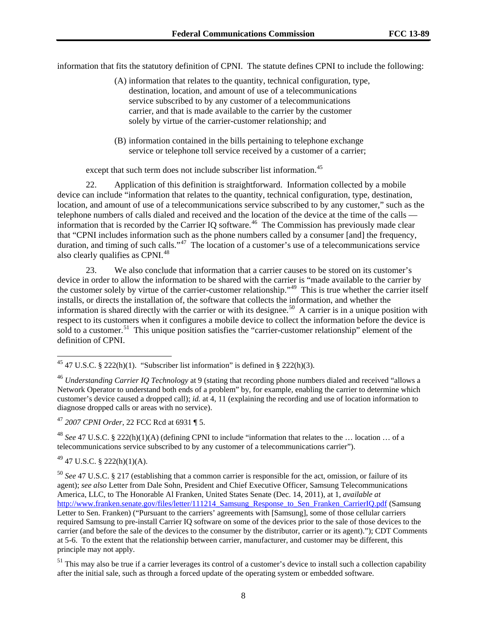information that fits the statutory definition of CPNI. The statute defines CPNI to include the following:

- (A) information that relates to the quantity, technical configuration, type, destination, location, and amount of use of a telecommunications service subscribed to by any customer of a telecommunications carrier, and that is made available to the carrier by the customer solely by virtue of the carrier-customer relationship; and
- (B) information contained in the bills pertaining to telephone exchange service or telephone toll service received by a customer of a carrier;

except that such term does not include subscriber list information.<sup>[45](#page-7-0)</sup>

22. Application of this definition is straightforward. Information collected by a mobile device can include "information that relates to the quantity, technical configuration, type, destination, location, and amount of use of a telecommunications service subscribed to by any customer," such as the telephone numbers of calls dialed and received and the location of the device at the time of the calls information that is recorded by the Carrier IQ software.<sup>46</sup> The Commission has previously made clear that "CPNI includes information such as the phone numbers called by a consumer [and] the frequency, duration, and timing of such calls."<sup>[47](#page-7-2)</sup> The location of a customer's use of a telecommunications service also clearly qualifies as CPNI.<sup>[48](#page-7-3)</sup>

23. We also conclude that information that a carrier causes to be stored on its customer's device in order to allow the information to be shared with the carrier is "made available to the carrier by the customer solely by virtue of the carrier-customer relationship."[49](#page-7-4) This is true whether the carrier itself installs, or directs the installation of, the software that collects the information, and whether the information is shared directly with the carrier or with its designee.<sup>50</sup> A carrier is in a unique position with respect to its customers when it configures a mobile device to collect the information before the device is sold to a customer.<sup>51</sup> This unique position satisfies the "carrier-customer relationship" element of the definition of CPNI.

<span id="page-7-2"></span><sup>47</sup> *2007 CPNI Order*, 22 FCC Rcd at 6931 ¶ 5.

<span id="page-7-3"></span><sup>48</sup> *See* 47 U.S.C. § 222(h)(1)(A) (defining CPNI to include "information that relates to the … location … of a telecommunications service subscribed to by any customer of a telecommunications carrier").

<span id="page-7-4"></span> $^{49}$  47 U.S.C. § 222(h)(1)(A).

<span id="page-7-0"></span><sup>&</sup>lt;sup>45</sup> 47 U.S.C. § 222(h)(1). "Subscriber list information" is defined in § 222(h)(3).

<span id="page-7-1"></span><sup>46</sup> *Understanding Carrier IQ Technology* at 9 (stating that recording phone numbers dialed and received "allows a Network Operator to understand both ends of a problem" by, for example, enabling the carrier to determine which customer's device caused a dropped call); *id.* at 4, 11 (explaining the recording and use of location information to diagnose dropped calls or areas with no service).

<span id="page-7-5"></span><sup>50</sup> *See* 47 U.S.C. § 217 (establishing that a common carrier is responsible for the act, omission, or failure of its agent); *see also* Letter from Dale Sohn, President and Chief Executive Officer, Samsung Telecommunications America, LLC, to The Honorable Al Franken, United States Senate (Dec. 14, 2011), at 1, *available at* [http://www.franken.senate.gov/files/letter/111214\\_Samsung\\_Response\\_to\\_Sen\\_Franken\\_CarrierIQ.pdf](http://www.franken.senate.gov/files/letter/111214_Samsung_Response_to_Sen_Franken_CarrierIQ.pdf) (Samsung Letter to Sen. Franken) ("Pursuant to the carriers' agreements with [Samsung], some of those cellular carriers required Samsung to pre-install Carrier IQ software on some of the devices prior to the sale of those devices to the carrier (and before the sale of the devices to the consumer by the distributor, carrier or its agent)."); CDT Comments at 5-6. To the extent that the relationship between carrier, manufacturer, and customer may be different, this principle may not apply.

<span id="page-7-6"></span> $51$  This may also be true if a carrier leverages its control of a customer's device to install such a collection capability after the initial sale, such as through a forced update of the operating system or embedded software.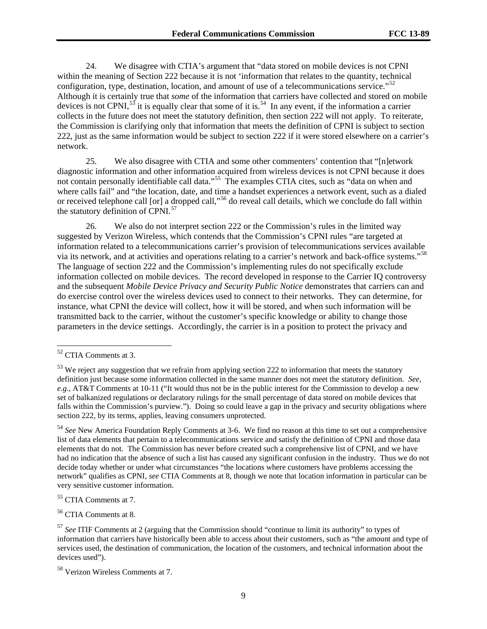24. We disagree with CTIA's argument that "data stored on mobile devices is not CPNI within the meaning of Section 222 because it is not 'information that relates to the quantity, technical configuration, type, destination, location, and amount of use of a telecommunications service."<sup>[52](#page-8-0)</sup> Although it is certainly true that *some* of the information that carriers have collected and stored on mobile devices is not CPNI,<sup>[53](#page-8-1)</sup> it is equally clear that some of it is.<sup>[54](#page-8-2)</sup> In any event, if the information a carrier collects in the future does not meet the statutory definition, then section 222 will not apply. To reiterate, the Commission is clarifying only that information that meets the definition of CPNI is subject to section 222, just as the same information would be subject to section 222 if it were stored elsewhere on a carrier's network.

25. We also disagree with CTIA and some other commenters' contention that "[n]etwork diagnostic information and other information acquired from wireless devices is not CPNI because it does not contain personally identifiable call data."<sup>[55](#page-8-3)</sup> The examples CTIA cites, such as "data on when and where calls fail" and "the location, date, and time a handset experiences a network event, such as a dialed or received telephone call [or] a dropped call,"[56](#page-8-4) do reveal call details, which we conclude do fall within the statutory definition of CPNI.<sup>[57](#page-8-5)</sup>

26. We also do not interpret section 222 or the Commission's rules in the limited way suggested by Verizon Wireless, which contends that the Commission's CPNI rules "are targeted at information related to a telecommunications carrier's provision of telecommunications services available via its network, and at activities and operations relating to a carrier's network and back-office systems."[58](#page-8-6)  The language of section 222 and the Commission's implementing rules do not specifically exclude information collected on mobile devices. The record developed in response to the Carrier IQ controversy and the subsequent *Mobile Device Privacy and Security Public Notice* demonstrates that carriers can and do exercise control over the wireless devices used to connect to their networks. They can determine, for instance, what CPNI the device will collect, how it will be stored, and when such information will be transmitted back to the carrier, without the customer's specific knowledge or ability to change those parameters in the device settings. Accordingly, the carrier is in a position to protect the privacy and

<span id="page-8-3"></span><sup>55</sup> CTIA Comments at 7.

<span id="page-8-4"></span><sup>56</sup> CTIA Comments at 8.

<span id="page-8-0"></span> <sup>52</sup> CTIA Comments at 3.

<span id="page-8-1"></span><sup>&</sup>lt;sup>53</sup> We reject any suggestion that we refrain from applying section 222 to information that meets the statutory definition just because some information collected in the same manner does not meet the statutory definition. *See, e.g.*, AT&T Comments at 10-11 ("It would thus not be in the public interest for the Commission to develop a new set of balkanized regulations or declaratory rulings for the small percentage of data stored on mobile devices that falls within the Commission's purview."). Doing so could leave a gap in the privacy and security obligations where section 222, by its terms, applies, leaving consumers unprotected.

<span id="page-8-2"></span><sup>54</sup> *See* New America Foundation Reply Comments at 3-6. We find no reason at this time to set out a comprehensive list of data elements that pertain to a telecommunications service and satisfy the definition of CPNI and those data elements that do not. The Commission has never before created such a comprehensive list of CPNI, and we have had no indication that the absence of such a list has caused any significant confusion in the industry. Thus we do not decide today whether or under what circumstances "the locations where customers have problems accessing the network" qualifies as CPNI, *see* CTIA Comments at 8, though we note that location information in particular can be very sensitive customer information.

<span id="page-8-5"></span><sup>57</sup> *See* ITIF Comments at 2 (arguing that the Commission should "continue to limit its authority" to types of information that carriers have historically been able to access about their customers, such as "the amount and type of services used, the destination of communication, the location of the customers, and technical information about the devices used").

<span id="page-8-6"></span><sup>58</sup> Verizon Wireless Comments at 7.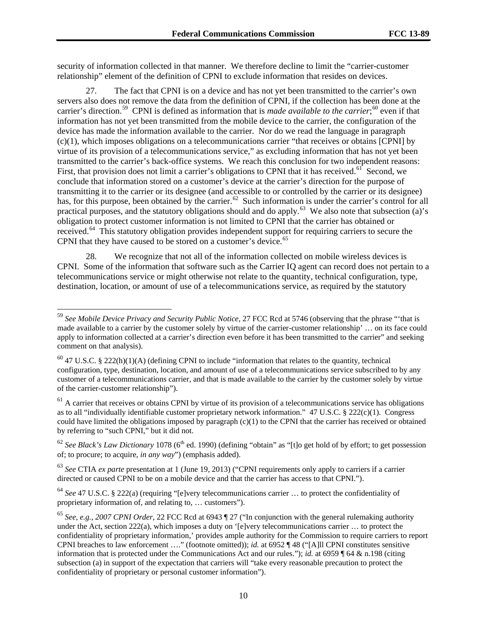security of information collected in that manner. We therefore decline to limit the "carrier-customer relationship" element of the definition of CPNI to exclude information that resides on devices.

27. The fact that CPNI is on a device and has not yet been transmitted to the carrier's own servers also does not remove the data from the definition of CPNI, if the collection has been done at the carrier's direction.<sup>59</sup> CPNI is defined as information that is *made available to the carrier*;<sup>[60](#page-9-1)</sup> even if that information has not yet been transmitted from the mobile device to the carrier, the configuration of the device has made the information available to the carrier. Nor do we read the language in paragraph (c)(1), which imposes obligations on a telecommunications carrier "that receives or obtains [CPNI] by virtue of its provision of a telecommunications service," as excluding information that has not yet been transmitted to the carrier's back-office systems. We reach this conclusion for two independent reasons: First, that provision does not limit a carrier's obligations to CPNI that it has received.<sup>[61](#page-9-2)</sup> Second, we conclude that information stored on a customer's device at the carrier's direction for the purpose of transmitting it to the carrier or its designee (and accessible to or controlled by the carrier or its designee) has, for this purpose, been obtained by the carrier.<sup>62</sup> Such information is under the carrier's control for all practical purposes, and the statutory obligations should and do apply.[63](#page-9-4) We also note that subsection (a)'s obligation to protect customer information is not limited to CPNI that the carrier has obtained or received.<sup>64</sup> This statutory obligation provides independent support for requiring carriers to secure the CPNI that they have caused to be stored on a customer's device.<sup>[65](#page-9-6)</sup>

28. We recognize that not all of the information collected on mobile wireless devices is CPNI. Some of the information that software such as the Carrier IQ agent can record does not pertain to a telecommunications service or might otherwise not relate to the quantity, technical configuration, type, destination, location, or amount of use of a telecommunications service, as required by the statutory

<span id="page-9-2"></span> $<sup>61</sup>$  A carrier that receives or obtains CPNI by virtue of its provision of a telecommunications service has obligations</sup> as to all "individually identifiable customer proprietary network information."  $47 \text{ U.S.C.}$  §  $222(c)(1)$ . Congress could have limited the obligations imposed by paragraph  $(c)(1)$  to the CPNI that the carrier has received or obtained by referring to "such CPNI," but it did not.

<span id="page-9-4"></span><sup>63</sup> *See* CTIA *ex parte* presentation at 1 (June 19, 2013) ("CPNI requirements only apply to carriers if a carrier directed or caused CPNI to be on a mobile device and that the carrier has access to that CPNI.").

<span id="page-9-5"></span><sup>64</sup> *See* 47 U.S.C. § 222(a) (requiring "[e]very telecommunications carrier … to protect the confidentiality of proprietary information of, and relating to, … customers").

<span id="page-9-0"></span> <sup>59</sup> *See Mobile Device Privacy and Security Public Notice*, 27 FCC Rcd at 5746 (observing that the phrase "'that is made available to a carrier by the customer solely by virtue of the carrier-customer relationship' … on its face could apply to information collected at a carrier's direction even before it has been transmitted to the carrier" and seeking comment on that analysis).

<span id="page-9-1"></span> $60$  47 U.S.C. § 222(h)(1)(A) (defining CPNI to include "information that relates to the quantity, technical configuration, type, destination, location, and amount of use of a telecommunications service subscribed to by any customer of a telecommunications carrier, and that is made available to the carrier by the customer solely by virtue of the carrier-customer relationship").

<span id="page-9-3"></span><sup>&</sup>lt;sup>62</sup> *See Black's Law Dictionary* 1078 (6<sup>th</sup> ed. 1990) (defining "obtain" as "[t]o get hold of by effort; to get possession of; to procure; to acquire, *in any way*") (emphasis added).

<span id="page-9-6"></span><sup>65</sup> *See, e.g.*, *2007 CPNI Order*, 22 FCC Rcd at 6943 ¶ 27 ("In conjunction with the general rulemaking authority under the Act, section  $222(a)$ , which imposes a duty on '[e]very telecommunications carrier  $\dots$  to protect the confidentiality of proprietary information,' provides ample authority for the Commission to require carriers to report CPNI breaches to law enforcement …." (footnote omitted)); *id.* at 6952 ¶ 48 ("[A]ll CPNI constitutes sensitive information that is protected under the Communications Act and our rules."); *id.* at 6959 ¶ 64 & n.198 (citing subsection (a) in support of the expectation that carriers will "take every reasonable precaution to protect the confidentiality of proprietary or personal customer information").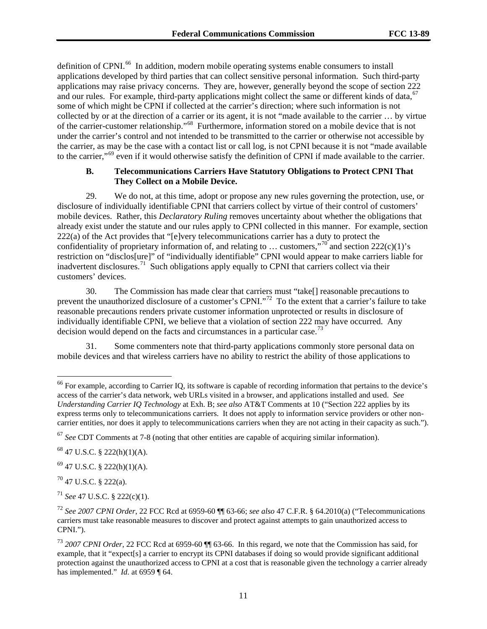definition of CPNI.<sup>66</sup> In addition, modern mobile operating systems enable consumers to install applications developed by third parties that can collect sensitive personal information. Such third-party applications may raise privacy concerns. They are, however, generally beyond the scope of section 222 and our rules. For example, third-party applications might collect the same or different kinds of data, <sup>[67](#page-10-1)</sup> some of which might be CPNI if collected at the carrier's direction; where such information is not collected by or at the direction of a carrier or its agent, it is not "made available to the carrier … by virtue of the carrier-customer relationship."[68](#page-10-2) Furthermore, information stored on a mobile device that is not under the carrier's control and not intended to be transmitted to the carrier or otherwise not accessible by the carrier, as may be the case with a contact list or call log, is not CPNI because it is not "made available to the carrier,"[69](#page-10-3) even if it would otherwise satisfy the definition of CPNI if made available to the carrier.

## **B. Telecommunications Carriers Have Statutory Obligations to Protect CPNI That They Collect on a Mobile Device.**

29. We do not, at this time, adopt or propose any new rules governing the protection, use, or disclosure of individually identifiable CPNI that carriers collect by virtue of their control of customers' mobile devices. Rather, this *Declaratory Ruling* removes uncertainty about whether the obligations that already exist under the statute and our rules apply to CPNI collected in this manner. For example, section 222(a) of the Act provides that "[e]very telecommunications carrier has a duty to protect the confidentiality of proprietary information of, and relating to ... customers,"<sup>[70](#page-10-4)'</sup> and section 222(c)(1)'s restriction on "disclos[ure]" of "individually identifiable" CPNI would appear to make carriers liable for inadvertent disclosures.<sup>[71](#page-10-5)</sup> Such obligations apply equally to CPNI that carriers collect via their customers' devices.

30. The Commission has made clear that carriers must "take[] reasonable precautions to prevent the unauthorized disclosure of a customer's CPNI."<sup>[72](#page-10-6)</sup> To the extent that a carrier's failure to take reasonable precautions renders private customer information unprotected or results in disclosure of individually identifiable CPNI, we believe that a violation of section 222 may have occurred. Any decision would depend on the facts and circumstances in a particular case.<sup>[73](#page-10-7)</sup>

31. Some commenters note that third-party applications commonly store personal data on mobile devices and that wireless carriers have no ability to restrict the ability of those applications to

<span id="page-10-3"></span> $^{69}$  47 U.S.C. § 222(h)(1)(A).

<span id="page-10-4"></span><sup>70</sup> 47 U.S.C. § 222(a).

<span id="page-10-5"></span><sup>71</sup> *See* 47 U.S.C. § 222(c)(1).

<span id="page-10-0"></span> $^{66}$  For example, according to Carrier IO, its software is capable of recording information that pertains to the device's access of the carrier's data network, web URLs visited in a browser, and applications installed and used. *See Understanding Carrier IQ Technology* at Exh. B; *see also* AT&T Comments at 10 ("Section 222 applies by its express terms only to telecommunications carriers. It does not apply to information service providers or other noncarrier entities, nor does it apply to telecommunications carriers when they are not acting in their capacity as such.").

<span id="page-10-1"></span><sup>67</sup> *See* CDT Comments at 7-8 (noting that other entities are capable of acquiring similar information).

<span id="page-10-2"></span> $68$  47 U.S.C. § 222(h)(1)(A).

<span id="page-10-6"></span><sup>72</sup> *See 2007 CPNI Order*, 22 FCC Rcd at 6959-60 ¶¶ 63-66; *see also* 47 C.F.R. § 64.2010(a) ("Telecommunications carriers must take reasonable measures to discover and protect against attempts to gain unauthorized access to CPNI.").

<span id="page-10-7"></span><sup>73</sup> *2007 CPNI Order*, 22 FCC Rcd at 6959-60 ¶¶ 63-66. In this regard, we note that the Commission has said, for example, that it "expect s a carrier to encrypt its CPNI databases if doing so would provide significant additional protection against the unauthorized access to CPNI at a cost that is reasonable given the technology a carrier already has implemented." *Id.* at 6959 ¶ 64.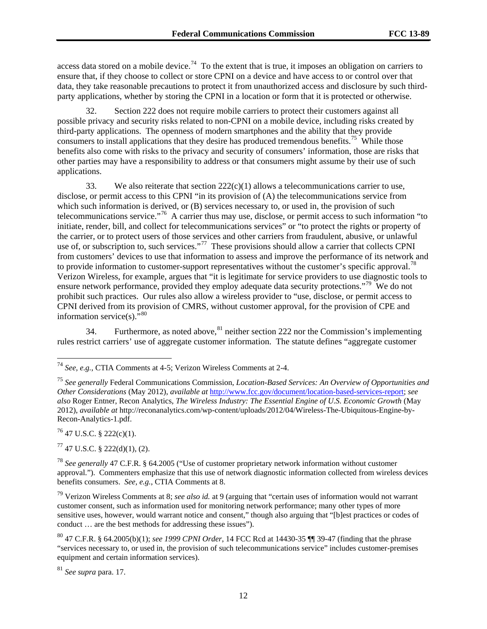access data stored on a mobile device.<sup>[74](#page-11-1)</sup> To the extent that is true, it imposes an obligation on carriers to ensure that, if they choose to collect or store CPNI on a device and have access to or control over that data, they take reasonable precautions to protect it from unauthorized access and disclosure by such thirdparty applications, whether by storing the CPNI in a location or form that it is protected or otherwise.

32. Section 222 does not require mobile carriers to protect their customers against all possible privacy and security risks related to non-CPNI on a mobile device, including risks created by third-party applications. The openness of modern smartphones and the ability that they provide consumers to install applications that they desire has produced tremendous benefits.<sup>75</sup> While those benefits also come with risks to the privacy and security of consumers' information, those are risks that other parties may have a responsibility to address or that consumers might assume by their use of such applications.

33. We also reiterate that section  $222(c)(1)$  allows a telecommunications carrier to use, disclose, or permit access to this CPNI "in its provision of (A) the telecommunications service from which such information is derived, or (B) services necessary to, or used in, the provision of such telecommunications service."[76](#page-11-3) A carrier thus may use, disclose, or permit access to such information "to initiate, render, bill, and collect for telecommunications services" or "to protect the rights or property of the carrier, or to protect users of those services and other carriers from fraudulent, abusive, or unlawful use of, or subscription to, such services."<sup>[77](#page-11-4)</sup> These provisions should allow a carrier that collects CPNI from customers' devices to use that information to assess and improve the performance of its network and to provide information to customer-support representatives without the customer's specific approval.<sup>[78](#page-11-5)</sup> Verizon Wireless, for example, argues that "it is legitimate for service providers to use diagnostic tools to ensure network performance, provided they employ adequate data security protections."<sup>[79](#page-11-6)</sup> We do not prohibit such practices. Our rules also allow a wireless provider to "use, disclose, or permit access to CPNI derived from its provision of CMRS, without customer approval, for the provision of CPE and information service(s). $\frac{580}{100}$  $\frac{580}{100}$  $\frac{580}{100}$ 

<span id="page-11-0"></span>34. Furthermore, as noted above,  $81$  neither section 222 nor the Commission's implementing rules restrict carriers' use of aggregate customer information. The statute defines "aggregate customer

<span id="page-11-3"></span> $^{76}$  47 U.S.C. § 222(c)(1).

<span id="page-11-4"></span> $77$  47 U.S.C. § 222(d)(1), (2).

<span id="page-11-8"></span><sup>81</sup> *See supra* para. [17.](#page-5-4)

<span id="page-11-1"></span> <sup>74</sup> *See, e.g.*, CTIA Comments at 4-5; Verizon Wireless Comments at 2-4.

<span id="page-11-2"></span><sup>75</sup> *See generally* Federal Communications Commission, *Location-Based Services: An Overview of Opportunities and Other Considerations* (May 2012), *available at* [http://www.fcc.gov/document/location-based-services-report;](http://www.fcc.gov/document/location-based-services-report) *see also* Roger Entner, Recon Analytics, *The Wireless Industry: The Essential Engine of U.S. Economic Growth* (May 2012), *available at* http://reconanalytics.com/wp-content/uploads/2012/04/Wireless-The-Ubiquitous-Engine-by-Recon-Analytics-1.pdf.

<span id="page-11-5"></span><sup>78</sup> *See generally* 47 C.F.R. § 64.2005 ("Use of customer proprietary network information without customer approval."). Commenters emphasize that this use of network diagnostic information collected from wireless devices benefits consumers. *See, e.g.*, CTIA Comments at 8.

<span id="page-11-6"></span><sup>79</sup> Verizon Wireless Comments at 8; *see also id.* at 9 (arguing that "certain uses of information would not warrant customer consent, such as information used for monitoring network performance; many other types of more sensitive uses, however, would warrant notice and consent," though also arguing that "[b]est practices or codes of conduct … are the best methods for addressing these issues").

<span id="page-11-7"></span><sup>80</sup> 47 C.F.R. § 64.2005(b)(1); *see 1999 CPNI Order*, 14 FCC Rcd at 14430-35 ¶¶ 39-47 (finding that the phrase "services necessary to, or used in, the provision of such telecommunications service" includes customer-premises equipment and certain information services).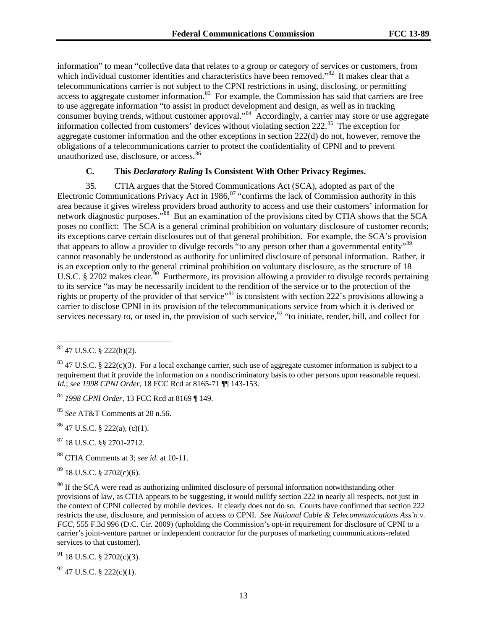information" to mean "collective data that relates to a group or category of services or customers, from which individual customer identities and characteristics have been removed."<sup>[82](#page-12-0)</sup> It makes clear that a telecommunications carrier is not subject to the CPNI restrictions in using, disclosing, or permitting access to aggregate customer information.<sup>83</sup> For example, the Commission has said that carriers are free to use aggregate information "to assist in product development and design, as well as in tracking consumer buying trends, without customer approval."<sup>[84](#page-12-2)</sup> Accordingly, a carrier may store or use aggregate information collected from customers' devices without violating section 222.[85](#page-12-3) The exception for aggregate customer information and the other exceptions in section 222(d) do not, however, remove the obligations of a telecommunications carrier to protect the confidentiality of CPNI and to prevent unauthorized use, disclosure, or access.<sup>[86](#page-12-4)</sup>

## **C. This** *Declaratory Ruling* **Is Consistent With Other Privacy Regimes.**

35. CTIA argues that the Stored Communications Act (SCA), adopted as part of the Electronic Communications Privacy Act in 1986,<sup>[87](#page-12-5)</sup> "confirms the lack of Commission authority in this area because it gives wireless providers broad authority to access and use their customers' information for network diagnostic purposes."<sup>[88](#page-12-6)</sup> But an examination of the provisions cited by CTIA shows that the SCA poses no conflict: The SCA is a general criminal prohibition on voluntary disclosure of customer records; its exceptions carve certain disclosures out of that general prohibition. For example, the SCA's provision that appears to allow a provider to divulge records "to any person other than a governmental entity"<sup>[89](#page-12-7)</sup> cannot reasonably be understood as authority for unlimited disclosure of personal information. Rather, it is an exception only to the general criminal prohibition on voluntary disclosure, as the structure of 18 U.S.C. § 2702 makes clear.<sup>[90](#page-12-8)</sup> Furthermore, its provision allowing a provider to divulge records pertaining to its service "as may be necessarily incident to the rendition of the service or to the protection of the rights or property of the provider of that service"<sup>[91](#page-12-9)</sup> is consistent with section 222's provisions allowing a carrier to disclose CPNI in its provision of the telecommunications service from which it is derived or services necessary to, or used in, the provision of such service,  $92$  "to initiate, render, bill, and collect for

<span id="page-12-3"></span><sup>85</sup> *See* AT&T Comments at 20 n.56.

<span id="page-12-4"></span> $86$  47 U.S.C. § 222(a), (c)(1).

<span id="page-12-5"></span><sup>87</sup> 18 U.S.C. §§ 2701-2712.

<span id="page-12-6"></span><sup>88</sup> CTIA Comments at 3; *see id.* at 10-11.

<span id="page-12-7"></span> $89$  18 U.S.C. § 2702(c)(6).

<span id="page-12-9"></span> $91$  18 U.S.C. § 2702(c)(3).

<span id="page-12-10"></span> $92$  47 U.S.C. § 222(c)(1).

<span id="page-12-0"></span> $82$  47 U.S.C. § 222(h)(2).

<span id="page-12-1"></span> $83$  47 U.S.C. § 222(c)(3). For a local exchange carrier, such use of aggregate customer information is subject to a requirement that it provide the information on a nondiscriminatory basis to other persons upon reasonable request. *Id.*; *see 1998 CPNI Order*, 18 FCC Rcd at 8165-71 ¶¶ 143-153.

<span id="page-12-2"></span><sup>84</sup> *1998 CPNI Order*, 13 FCC Rcd at 8169 ¶ 149.

<span id="page-12-8"></span> $90$  If the SCA were read as authorizing unlimited disclosure of personal information notwithstanding other provisions of law, as CTIA appears to be suggesting, it would nullify section 222 in nearly all respects, not just in the context of CPNI collected by mobile devices. It clearly does not do so. Courts have confirmed that section 222 restricts the use, disclosure, and permission of access to CPNI. *See National Cable & Telecommunications Ass'n v. FCC*, 555 F.3d 996 (D.C. Cir. 2009) (upholding the Commission's opt-in requirement for disclosure of CPNI to a carrier's joint-venture partner or independent contractor for the purposes of marketing communications-related services to that customer).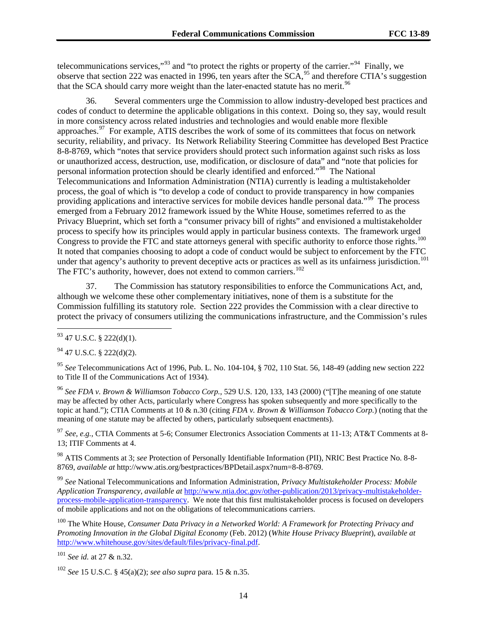telecommunications services,"<sup>[93](#page-13-0)</sup> and "to protect the rights or property of the carrier."<sup>94</sup> Finally, we observe that section 222 was enacted in 1996, ten years after the SCA,<sup>[95](#page-13-2)</sup> and therefore CTIA's suggestion that the SCA should carry more weight than the later-enacted statute has no merit.<sup>96</sup>

36. Several commenters urge the Commission to allow industry-developed best practices and codes of conduct to determine the applicable obligations in this context. Doing so, they say, would result in more consistency across related industries and technologies and would enable more flexible approaches.<sup>97</sup> For example, ATIS describes the work of some of its committees that focus on network security, reliability, and privacy. Its Network Reliability Steering Committee has developed Best Practice 8-8-8769, which "notes that service providers should protect such information against such risks as loss or unauthorized access, destruction, use, modification, or disclosure of data" and "note that policies for personal information protection should be clearly identified and enforced."[98](#page-13-5) The National Telecommunications and Information Administration (NTIA) currently is leading a multistakeholder process, the goal of which is "to develop a code of conduct to provide transparency in how companies providing applications and interactive services for mobile devices handle personal data."<sup>99</sup> The process emerged from a February 2012 framework issued by the White House, sometimes referred to as the Privacy Blueprint, which set forth a "consumer privacy bill of rights" and envisioned a multistakeholder process to specify how its principles would apply in particular business contexts. The framework urged Congress to provide the FTC and state attorneys general with specific authority to enforce those rights.<sup>100</sup> It noted that companies choosing to adopt a code of conduct would be subject to enforcement by the FTC under that agency's authority to prevent deceptive acts or practices as well as its unfairness jurisdiction.<sup>101</sup> The FTC's authority, however, does not extend to common carriers.<sup>[102](#page-13-9)</sup>

37. The Commission has statutory responsibilities to enforce the Communications Act, and, although we welcome these other complementary initiatives, none of them is a substitute for the Commission fulfilling its statutory role. Section 222 provides the Commission with a clear directive to protect the privacy of consumers utilizing the communications infrastructure, and the Commission's rules

<span id="page-13-3"></span><sup>96</sup> *See FDA v. Brown & Williamson Tobacco Corp.*, 529 U.S. 120, 133, 143 (2000) ("[T]he meaning of one statute may be affected by other Acts, particularly where Congress has spoken subsequently and more specifically to the topic at hand."); CTIA Comments at 10 & n.30 (citing *FDA v. Brown & Williamson Tobacco Corp.*) (noting that the meaning of one statute may be affected by others, particularly subsequent enactments).

<span id="page-13-4"></span><sup>97</sup> *See, e.g.*, CTIA Comments at 5-6; Consumer Electronics Association Comments at 11-13; AT&T Comments at 8- 13; ITIF Comments at 4.

<span id="page-13-5"></span><sup>98</sup> ATIS Comments at 3; *see* Protection of Personally Identifiable Information (PII), NRIC Best Practice No. 8-8- 8769, *available at* http://www.atis.org/bestpractices/BPDetail.aspx?num=8-8-8769.

<span id="page-13-6"></span><sup>99</sup> *See* National Telecommunications and Information Administration, *Privacy Multistakeholder Process: Mobile Application Transparency*, *available at* [http://www.ntia.doc.gov/other-publication/2013/privacy-multistakeholder](http://www.ntia.doc.gov/other-publication/2013/privacy-multistakeholder-process-mobile-application-transparency)[process-mobile-application-transparency.](http://www.ntia.doc.gov/other-publication/2013/privacy-multistakeholder-process-mobile-application-transparency) We note that this first multistakeholder process is focused on developers of mobile applications and not on the obligations of telecommunications carriers.

<span id="page-13-7"></span><sup>100</sup> The White House, *Consumer Data Privacy in a Networked World: A Framework for Protecting Privacy and Promoting Innovation in the Global Digital Economy* (Feb. 2012) (*White House Privacy Blueprint*), *available at* [http://www.whitehouse.gov/sites/default/files/privacy-final.pdf.](http://www.whitehouse.gov/sites/default/files/privacy-final.pdf)

<span id="page-13-8"></span><sup>101</sup> *See id.* at 27 & n.32.

<span id="page-13-0"></span> $93$  47 U.S.C. § 222(d)(1).

<span id="page-13-1"></span> $^{94}$  47 U.S.C. § 222(d)(2).

<span id="page-13-2"></span><sup>95</sup> *See* Telecommunications Act of 1996, Pub. L. No. 104-104, § 702, 110 Stat. 56, 148-49 (adding new section 222 to Title II of the Communications Act of 1934).

<span id="page-13-9"></span><sup>102</sup> *See* 15 U.S.C. § 45(a)(2); *see also supra* para. 15 & n.35.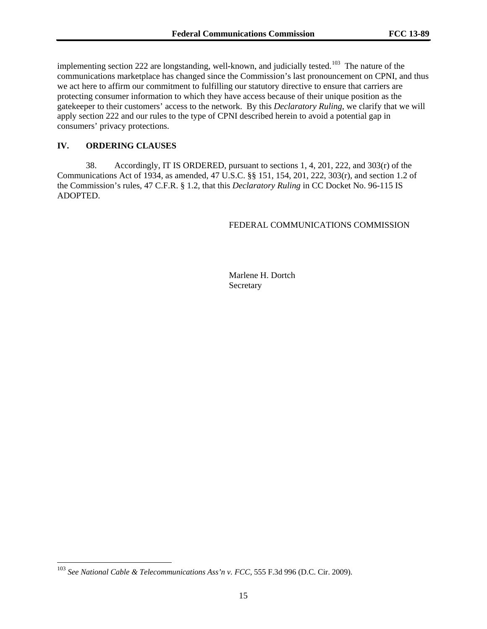implementing section 222 are longstanding, well-known, and judicially tested.<sup>[103](#page-14-0)</sup> The nature of the communications marketplace has changed since the Commission's last pronouncement on CPNI, and thus we act here to affirm our commitment to fulfilling our statutory directive to ensure that carriers are protecting consumer information to which they have access because of their unique position as the gatekeeper to their customers' access to the network. By this *Declaratory Ruling*, we clarify that we will apply section 222 and our rules to the type of CPNI described herein to avoid a potential gap in consumers' privacy protections.

# **IV. ORDERING CLAUSES**

38. Accordingly, IT IS ORDERED, pursuant to sections 1, 4, 201, 222, and 303(r) of the Communications Act of 1934, as amended, 47 U.S.C. §§ 151, 154, 201, 222, 303(r), and section 1.2 of the Commission's rules, 47 C.F.R. § 1.2, that this *Declaratory Ruling* in CC Docket No. 96-115 IS ADOPTED.

## FEDERAL COMMUNICATIONS COMMISSION

Marlene H. Dortch Secretary

<span id="page-14-0"></span> <sup>103</sup> *See National Cable & Telecommunications Ass'n v. FCC*, 555 F.3d 996 (D.C. Cir. 2009).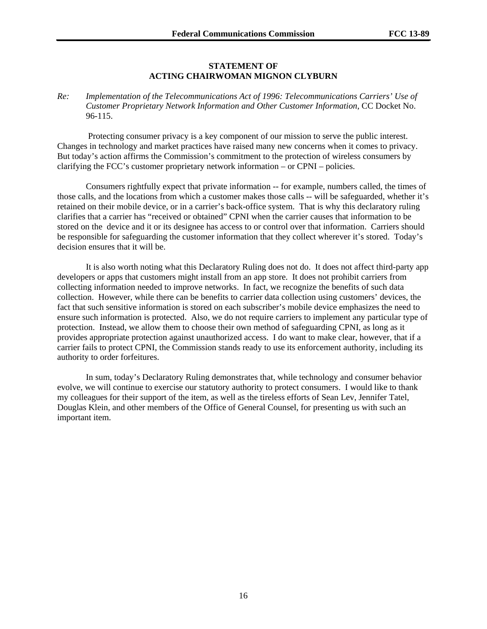## **STATEMENT OF ACTING CHAIRWOMAN MIGNON CLYBURN**

*Re: Implementation of the Telecommunications Act of 1996: Telecommunications Carriers' Use of Customer Proprietary Network Information and Other Customer Information*, CC Docket No. 96-115.

Protecting consumer privacy is a key component of our mission to serve the public interest. Changes in technology and market practices have raised many new concerns when it comes to privacy. But today's action affirms the Commission's commitment to the protection of wireless consumers by clarifying the FCC's customer proprietary network information – or CPNI – policies.

Consumers rightfully expect that private information -- for example, numbers called, the times of those calls, and the locations from which a customer makes those calls -- will be safeguarded, whether it's retained on their mobile device, or in a carrier's back-office system. That is why this declaratory ruling clarifies that a carrier has "received or obtained" CPNI when the carrier causes that information to be stored on the device and it or its designee has access to or control over that information. Carriers should be responsible for safeguarding the customer information that they collect wherever it's stored. Today's decision ensures that it will be.

It is also worth noting what this Declaratory Ruling does not do. It does not affect third-party app developers or apps that customers might install from an app store. It does not prohibit carriers from collecting information needed to improve networks. In fact, we recognize the benefits of such data collection. However, while there can be benefits to carrier data collection using customers' devices, the fact that such sensitive information is stored on each subscriber's mobile device emphasizes the need to ensure such information is protected. Also, we do not require carriers to implement any particular type of protection. Instead, we allow them to choose their own method of safeguarding CPNI, as long as it provides appropriate protection against unauthorized access. I do want to make clear, however, that if a carrier fails to protect CPNI, the Commission stands ready to use its enforcement authority, including its authority to order forfeitures.

In sum, today's Declaratory Ruling demonstrates that, while technology and consumer behavior evolve, we will continue to exercise our statutory authority to protect consumers. I would like to thank my colleagues for their support of the item, as well as the tireless efforts of Sean Lev, Jennifer Tatel, Douglas Klein, and other members of the Office of General Counsel, for presenting us with such an important item.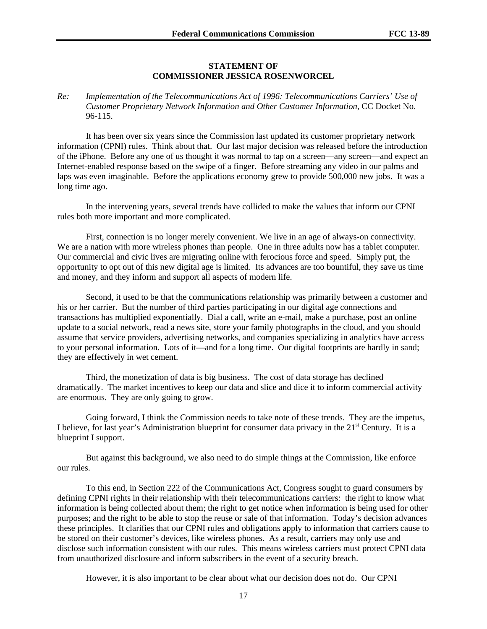## **STATEMENT OF COMMISSIONER JESSICA ROSENWORCEL**

### *Re: Implementation of the Telecommunications Act of 1996: Telecommunications Carriers' Use of Customer Proprietary Network Information and Other Customer Information*, CC Docket No. 96-115.

It has been over six years since the Commission last updated its customer proprietary network information (CPNI) rules. Think about that. Our last major decision was released before the introduction of the iPhone. Before any one of us thought it was normal to tap on a screen—any screen—and expect an Internet-enabled response based on the swipe of a finger. Before streaming any video in our palms and laps was even imaginable. Before the applications economy grew to provide 500,000 new jobs. It was a long time ago.

In the intervening years, several trends have collided to make the values that inform our CPNI rules both more important and more complicated.

First, connection is no longer merely convenient. We live in an age of always-on connectivity. We are a nation with more wireless phones than people. One in three adults now has a tablet computer. Our commercial and civic lives are migrating online with ferocious force and speed. Simply put, the opportunity to opt out of this new digital age is limited. Its advances are too bountiful, they save us time and money, and they inform and support all aspects of modern life.

Second, it used to be that the communications relationship was primarily between a customer and his or her carrier. But the number of third parties participating in our digital age connections and transactions has multiplied exponentially. Dial a call, write an e-mail, make a purchase, post an online update to a social network, read a news site, store your family photographs in the cloud, and you should assume that service providers, advertising networks, and companies specializing in analytics have access to your personal information. Lots of it—and for a long time. Our digital footprints are hardly in sand; they are effectively in wet cement.

Third, the monetization of data is big business. The cost of data storage has declined dramatically. The market incentives to keep our data and slice and dice it to inform commercial activity are enormous. They are only going to grow.

Going forward, I think the Commission needs to take note of these trends. They are the impetus, I believe, for last year's Administration blueprint for consumer data privacy in the  $21<sup>st</sup>$  Century. It is a blueprint I support.

But against this background, we also need to do simple things at the Commission, like enforce our rules.

To this end, in Section 222 of the Communications Act, Congress sought to guard consumers by defining CPNI rights in their relationship with their telecommunications carriers: the right to know what information is being collected about them; the right to get notice when information is being used for other purposes; and the right to be able to stop the reuse or sale of that information. Today's decision advances these principles. It clarifies that our CPNI rules and obligations apply to information that carriers cause to be stored on their customer's devices, like wireless phones. As a result, carriers may only use and disclose such information consistent with our rules. This means wireless carriers must protect CPNI data from unauthorized disclosure and inform subscribers in the event of a security breach.

However, it is also important to be clear about what our decision does not do. Our CPNI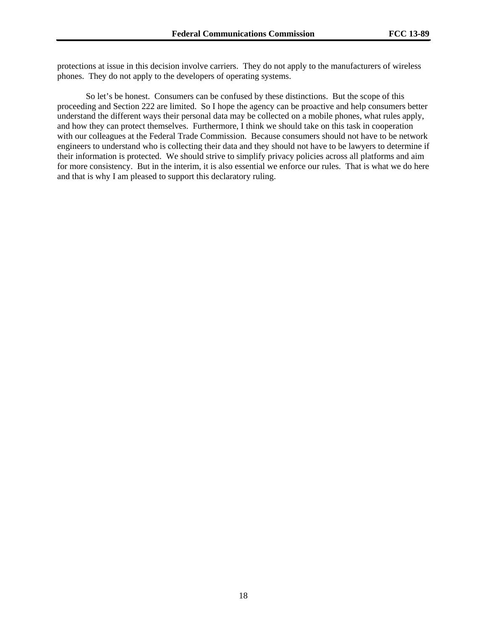protections at issue in this decision involve carriers. They do not apply to the manufacturers of wireless phones. They do not apply to the developers of operating systems.

So let's be honest. Consumers can be confused by these distinctions. But the scope of this proceeding and Section 222 are limited. So I hope the agency can be proactive and help consumers better understand the different ways their personal data may be collected on a mobile phones, what rules apply, and how they can protect themselves. Furthermore, I think we should take on this task in cooperation with our colleagues at the Federal Trade Commission. Because consumers should not have to be network engineers to understand who is collecting their data and they should not have to be lawyers to determine if their information is protected. We should strive to simplify privacy policies across all platforms and aim for more consistency. But in the interim, it is also essential we enforce our rules. That is what we do here and that is why I am pleased to support this declaratory ruling.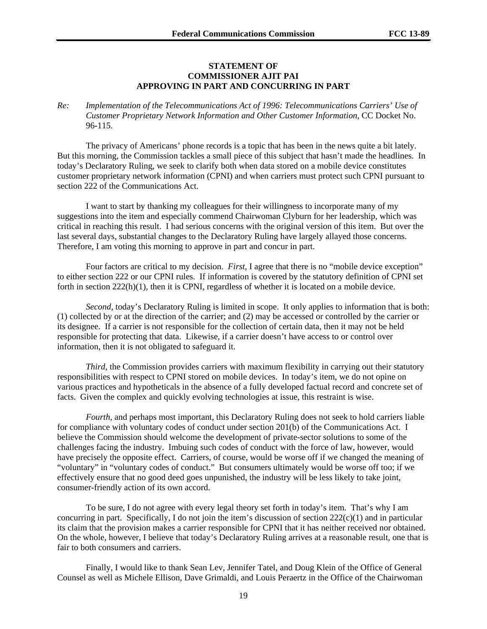#### **STATEMENT OF COMMISSIONER AJIT PAI APPROVING IN PART AND CONCURRING IN PART**

*Re: Implementation of the Telecommunications Act of 1996: Telecommunications Carriers' Use of Customer Proprietary Network Information and Other Customer Information*, CC Docket No. 96-115.

The privacy of Americans' phone records is a topic that has been in the news quite a bit lately. But this morning, the Commission tackles a small piece of this subject that hasn't made the headlines. In today's Declaratory Ruling, we seek to clarify both when data stored on a mobile device constitutes customer proprietary network information (CPNI) and when carriers must protect such CPNI pursuant to section 222 of the Communications Act.

I want to start by thanking my colleagues for their willingness to incorporate many of my suggestions into the item and especially commend Chairwoman Clyburn for her leadership, which was critical in reaching this result. I had serious concerns with the original version of this item. But over the last several days, substantial changes to the Declaratory Ruling have largely allayed those concerns. Therefore, I am voting this morning to approve in part and concur in part.

Four factors are critical to my decision. *First*, I agree that there is no "mobile device exception" to either section 222 or our CPNI rules. If information is covered by the statutory definition of CPNI set forth in section  $222(h)(1)$ , then it is CPNI, regardless of whether it is located on a mobile device.

*Second*, today's Declaratory Ruling is limited in scope. It only applies to information that is both: (1) collected by or at the direction of the carrier; and (2) may be accessed or controlled by the carrier or its designee. If a carrier is not responsible for the collection of certain data, then it may not be held responsible for protecting that data. Likewise, if a carrier doesn't have access to or control over information, then it is not obligated to safeguard it.

*Third*, the Commission provides carriers with maximum flexibility in carrying out their statutory responsibilities with respect to CPNI stored on mobile devices. In today's item, we do not opine on various practices and hypotheticals in the absence of a fully developed factual record and concrete set of facts. Given the complex and quickly evolving technologies at issue, this restraint is wise.

*Fourth*, and perhaps most important, this Declaratory Ruling does not seek to hold carriers liable for compliance with voluntary codes of conduct under section 201(b) of the Communications Act. I believe the Commission should welcome the development of private-sector solutions to some of the challenges facing the industry. Imbuing such codes of conduct with the force of law, however, would have precisely the opposite effect. Carriers, of course, would be worse off if we changed the meaning of "voluntary" in "voluntary codes of conduct." But consumers ultimately would be worse off too; if we effectively ensure that no good deed goes unpunished, the industry will be less likely to take joint, consumer-friendly action of its own accord.

To be sure, I do not agree with every legal theory set forth in today's item. That's why I am concurring in part. Specifically, I do not join the item's discussion of section  $222(c)(1)$  and in particular its claim that the provision makes a carrier responsible for CPNI that it has neither received nor obtained. On the whole, however, I believe that today's Declaratory Ruling arrives at a reasonable result, one that is fair to both consumers and carriers.

Finally, I would like to thank Sean Lev, Jennifer Tatel, and Doug Klein of the Office of General Counsel as well as Michele Ellison, Dave Grimaldi, and Louis Peraertz in the Office of the Chairwoman